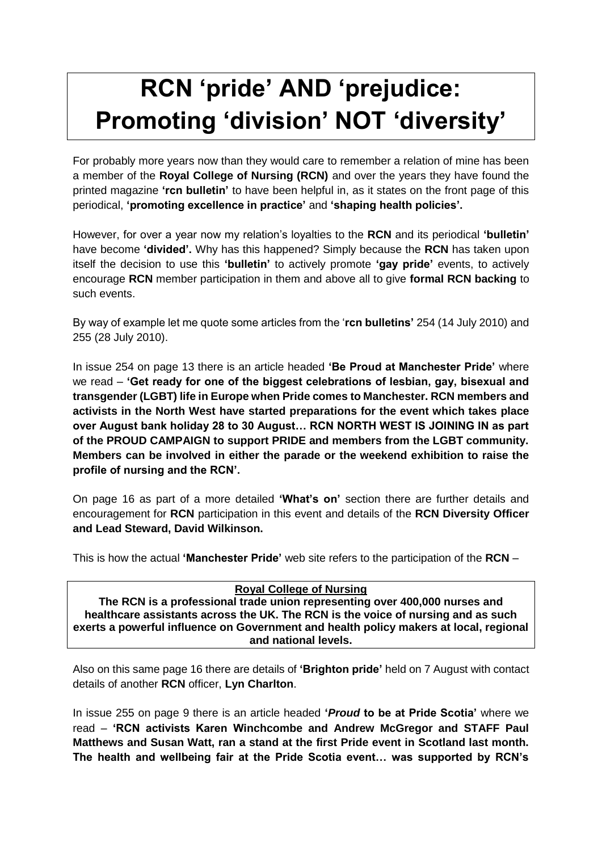# **RCN 'pride' AND 'prejudice: Promoting 'division' NOT 'diversity'**

For probably more years now than they would care to remember a relation of mine has been a member of the **Royal College of Nursing (RCN)** and over the years they have found the printed magazine **'rcn bulletin'** to have been helpful in, as it states on the front page of this periodical, **'promoting excellence in practice'** and **'shaping health policies'.**

However, for over a year now my relation's loyalties to the **RCN** and its periodical **'bulletin'**  have become **'divided'.** Why has this happened? Simply because the **RCN** has taken upon itself the decision to use this **'bulletin'** to actively promote **'gay pride'** events, to actively encourage **RCN** member participation in them and above all to give **formal RCN backing** to such events.

By way of example let me quote some articles from the '**rcn bulletins'** 254 (14 July 2010) and 255 (28 July 2010).

In issue 254 on page 13 there is an article headed **'Be Proud at Manchester Pride'** where we read – **'Get ready for one of the biggest celebrations of lesbian, gay, bisexual and transgender (LGBT) life in Europe when Pride comes to Manchester. RCN members and activists in the North West have started preparations for the event which takes place over August bank holiday 28 to 30 August… RCN NORTH WEST IS JOINING IN as part of the PROUD CAMPAIGN to support PRIDE and members from the LGBT community. Members can be involved in either the parade or the weekend exhibition to raise the profile of nursing and the RCN'.** 

On page 16 as part of a more detailed **'What's on'** section there are further details and encouragement for **RCN** participation in this event and details of the **RCN Diversity Officer and Lead Steward, David Wilkinson.**

This is how the actual **'Manchester Pride'** web site refers to the participation of the **RCN** –

| <b>Royal College of Nursing</b>                                                       |
|---------------------------------------------------------------------------------------|
| The RCN is a professional trade union representing over 400,000 nurses and            |
| healthcare assistants across the UK. The RCN is the voice of nursing and as such      |
| exerts a powerful influence on Government and health policy makers at local, regional |
| and national levels.                                                                  |

Also on this same page 16 there are details of **'Brighton pride'** held on 7 August with contact details of another **RCN** officer, **Lyn Charlton**.

In issue 255 on page 9 there is an article headed **'***Proud* **to be at Pride Scotia'** where we read – **'RCN activists Karen Winchcombe and Andrew McGregor and STAFF Paul Matthews and Susan Watt, ran a stand at the first Pride event in Scotland last month. The health and wellbeing fair at the Pride Scotia event… was supported by RCN's**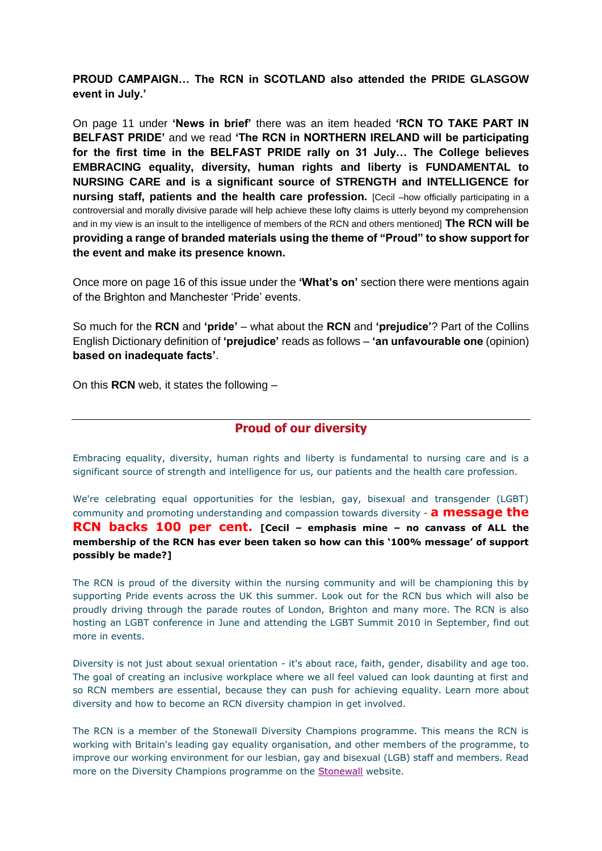**PROUD CAMPAIGN… The RCN in SCOTLAND also attended the PRIDE GLASGOW event in July.'** 

On page 11 under **'News in brief'** there was an item headed **'RCN TO TAKE PART IN BELFAST PRIDE'** and we read **'The RCN in NORTHERN IRELAND will be participating for the first time in the BELFAST PRIDE rally on 31 July… The College believes EMBRACING equality, diversity, human rights and liberty is FUNDAMENTAL to NURSING CARE and is a significant source of STRENGTH and INTELLIGENCE for nursing staff, patients and the health care profession.** [Cecil –how officially participating in a controversial and morally divisive parade will help achieve these lofty claims is utterly beyond my comprehension and in my view is an insult to the intelligence of members of the RCN and others mentioned] **The RCN will be providing a range of branded materials using the theme of "Proud" to show support for the event and make its presence known.** 

Once more on page 16 of this issue under the **'What's on'** section there were mentions again of the Brighton and Manchester 'Pride' events.

So much for the **RCN** and **'pride'** – what about the **RCN** and **'prejudice'**? Part of the Collins English Dictionary definition of **'prejudice'** reads as follows – **'an unfavourable one** (opinion) **based on inadequate facts'**.

On this **RCN** web, it states the following –

### **Proud of our diversity**

Embracing equality, diversity, human rights and liberty is fundamental to nursing care and is a significant source of strength and intelligence for us, our patients and the health care profession.

We're celebrating equal opportunities for the lesbian, gay, bisexual and transgender (LGBT) community and promoting understanding and compassion towards diversity - **a message the RCN backs 100 per cent. [Cecil – emphasis mine – no canvass of ALL the membership of the RCN has ever been taken so how can this '100% message' of support possibly be made?]**

The RCN is proud of the diversity within the nursing community and will be championing this by supporting Pride events across the UK this summer. Look out for the RCN bus which will also be proudly driving through the parade routes of London, Brighton and many more. The RCN is also hosting an LGBT conference in June and attending the LGBT Summit 2010 in September, find out more in events.

Diversity is not just about sexual orientation - it's about race, faith, gender, disability and age too. The goal of creating an inclusive workplace where we all feel valued can look daunting at first and so RCN members are essential, because they can push for achieving equality. Learn more about diversity and how to become an RCN diversity champion in get involved.

The RCN is a member of the Stonewall Diversity Champions programme. This means the RCN is working with Britain's leading gay equality organisation, and other members of the programme, to improve our working environment for our lesbian, gay and bisexual (LGB) staff and members. Read more on the Diversity Champions programme on the [Stonewall](http://www.stonewall.org.uk/workplace/) website.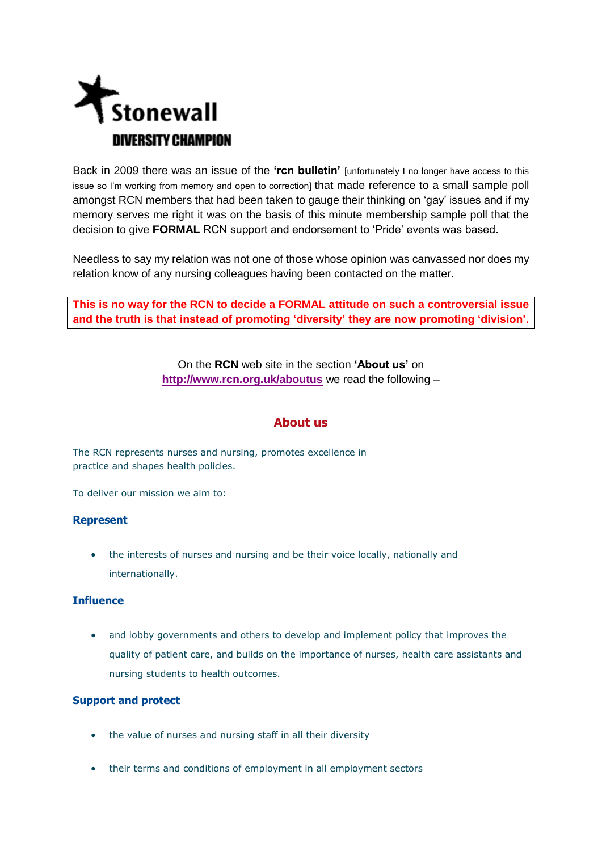

Back in 2009 there was an issue of the **'rcn bulletin'** [unfortunately I no longer have access to this issue so I'm working from memory and open to correction] that made reference to a small sample poll amongst RCN members that had been taken to gauge their thinking on 'gay' issues and if my memory serves me right it was on the basis of this minute membership sample poll that the decision to give **FORMAL** RCN support and endorsement to 'Pride' events was based.

Needless to say my relation was not one of those whose opinion was canvassed nor does my relation know of any nursing colleagues having been contacted on the matter.

**This is no way for the RCN to decide a FORMAL attitude on such a controversial issue and the truth is that instead of promoting 'diversity' they are now promoting 'division'.**

> On the **RCN** web site in the section **'About us'** on **<http://www.rcn.org.uk/aboutus>** we read the following –

### **About us**

The RCN represents nurses and nursing, promotes excellence in practice and shapes health policies.

To deliver our mission we aim to:

#### **Represent**

 the interests of nurses and nursing and be their voice locally, nationally and internationally.

#### **Influence**

 and lobby governments and others to develop and implement policy that improves the quality of patient care, and builds on the importance of nurses, health care assistants and nursing students to health outcomes.

#### **Support and protect**

- the value of nurses and nursing staff in all their diversity
- their terms and conditions of employment in all employment sectors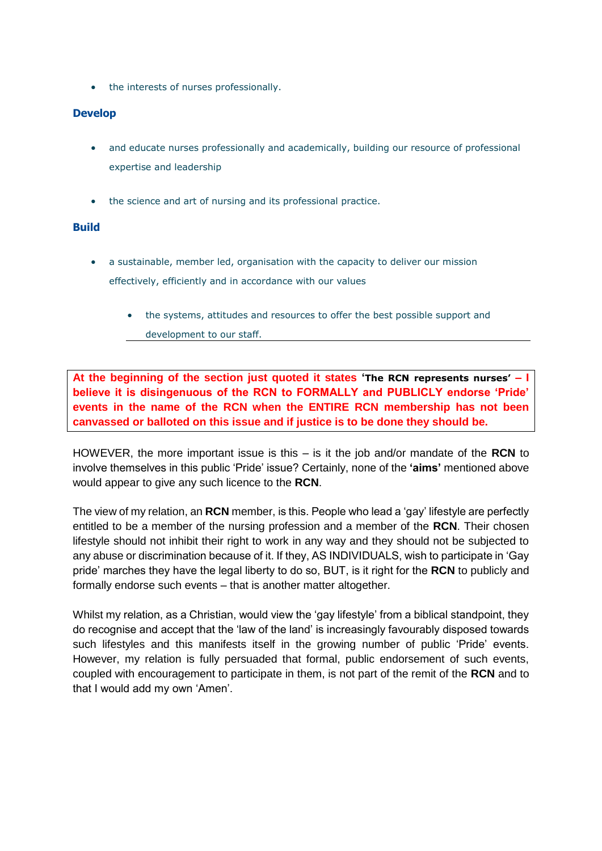• the interests of nurses professionally.

#### **Develop**

- and educate nurses professionally and academically, building our resource of professional expertise and leadership
- the science and art of nursing and its professional practice.

#### **Build**

- a sustainable, member led, organisation with the capacity to deliver our mission effectively, efficiently and in accordance with our values
	- the systems, attitudes and resources to offer the best possible support and
	- development to our staff.

**At the beginning of the section just quoted it states 'The RCN represents nurses' – I believe it is disingenuous of the RCN to FORMALLY and PUBLICLY endorse 'Pride' events in the name of the RCN when the ENTIRE RCN membership has not been canvassed or balloted on this issue and if justice is to be done they should be.** 

HOWEVER, the more important issue is this – is it the job and/or mandate of the **RCN** to involve themselves in this public 'Pride' issue? Certainly, none of the **'aims'** mentioned above would appear to give any such licence to the **RCN**.

The view of my relation, an **RCN** member, is this. People who lead a 'gay' lifestyle are perfectly entitled to be a member of the nursing profession and a member of the **RCN**. Their chosen lifestyle should not inhibit their right to work in any way and they should not be subjected to any abuse or discrimination because of it. If they, AS INDIVIDUALS, wish to participate in 'Gay pride' marches they have the legal liberty to do so, BUT, is it right for the **RCN** to publicly and formally endorse such events – that is another matter altogether.

Whilst my relation, as a Christian, would view the 'gay lifestyle' from a biblical standpoint, they do recognise and accept that the 'law of the land' is increasingly favourably disposed towards such lifestyles and this manifests itself in the growing number of public 'Pride' events. However, my relation is fully persuaded that formal, public endorsement of such events, coupled with encouragement to participate in them, is not part of the remit of the **RCN** and to that I would add my own 'Amen'.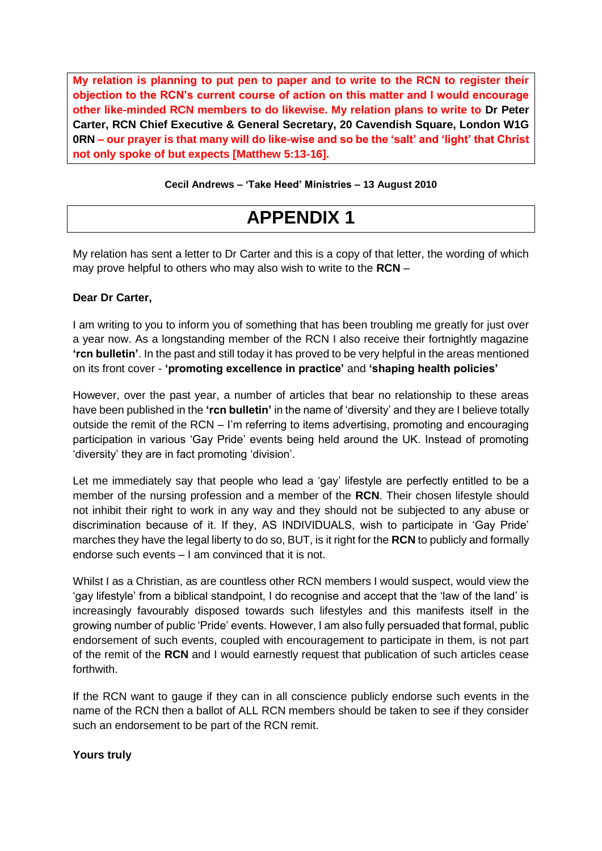**My relation is planning to put pen to paper and to write to the RCN to register their objection to the RCN's current course of action on this matter and I would encourage other like-minded RCN members to do likewise. My relation plans to write to Dr Peter Carter, RCN Chief Executive & General Secretary, 20 Cavendish Square, London W1G 0RN – our prayer is that many will do like-wise and so be the 'salt' and 'light' that Christ not only spoke of but expects [Matthew 5:13-16].** 

#### **Cecil Andrews – 'Take Heed' Ministries – 13 August 2010**

# **APPENDIX 1**

My relation has sent a letter to Dr Carter and this is a copy of that letter, the wording of which may prove helpful to others who may also wish to write to the **RCN** –

#### **Dear Dr Carter,**

I am writing to you to inform you of something that has been troubling me greatly for just over a year now. As a longstanding member of the RCN I also receive their fortnightly magazine **'rcn bulletin'**. In the past and still today it has proved to be very helpful in the areas mentioned on its front cover - **'promoting excellence in practice'** and **'shaping health policies'**

However, over the past year, a number of articles that bear no relationship to these areas have been published in the **'rcn bulletin'** in the name of 'diversity' and they are I believe totally outside the remit of the RCN – I'm referring to items advertising, promoting and encouraging participation in various 'Gay Pride' events being held around the UK. Instead of promoting 'diversity' they are in fact promoting 'division'.

Let me immediately say that people who lead a 'gay' lifestyle are perfectly entitled to be a member of the nursing profession and a member of the **RCN**. Their chosen lifestyle should not inhibit their right to work in any way and they should not be subjected to any abuse or discrimination because of it. If they, AS INDIVIDUALS, wish to participate in 'Gay Pride' marches they have the legal liberty to do so, BUT, is it right for the **RCN** to publicly and formally endorse such events – I am convinced that it is not.

Whilst I as a Christian, as are countless other RCN members I would suspect, would view the 'gay lifestyle' from a biblical standpoint, I do recognise and accept that the 'law of the land' is increasingly favourably disposed towards such lifestyles and this manifests itself in the growing number of public 'Pride' events. However, I am also fully persuaded that formal, public endorsement of such events, coupled with encouragement to participate in them, is not part of the remit of the **RCN** and I would earnestly request that publication of such articles cease forthwith.

If the RCN want to gauge if they can in all conscience publicly endorse such events in the name of the RCN then a ballot of ALL RCN members should be taken to see if they consider such an endorsement to be part of the RCN remit.

#### **Yours truly**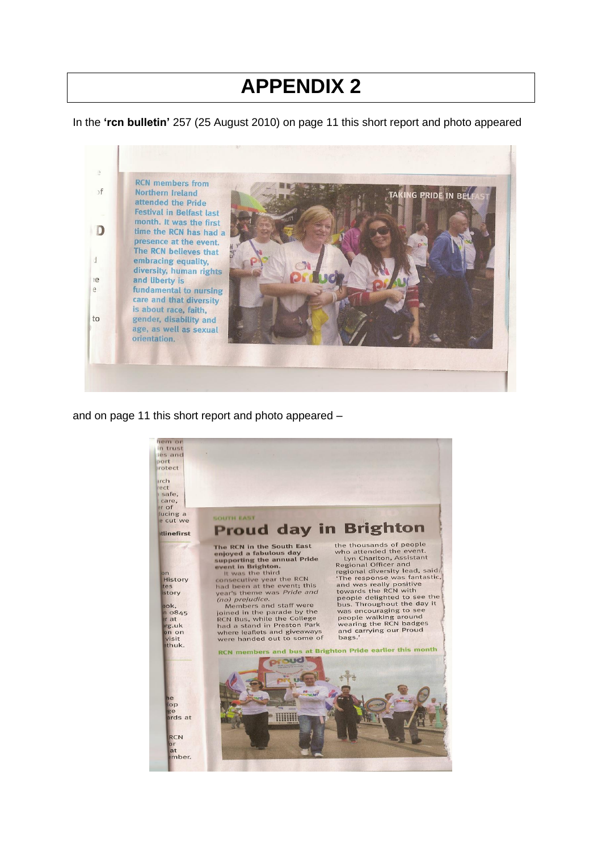# **APPENDIX 2**

In the **'rcn bulletin'** 257 (25 August 2010) on page 11 this short report and photo appeared



and on page 11 this short report and photo appeared –

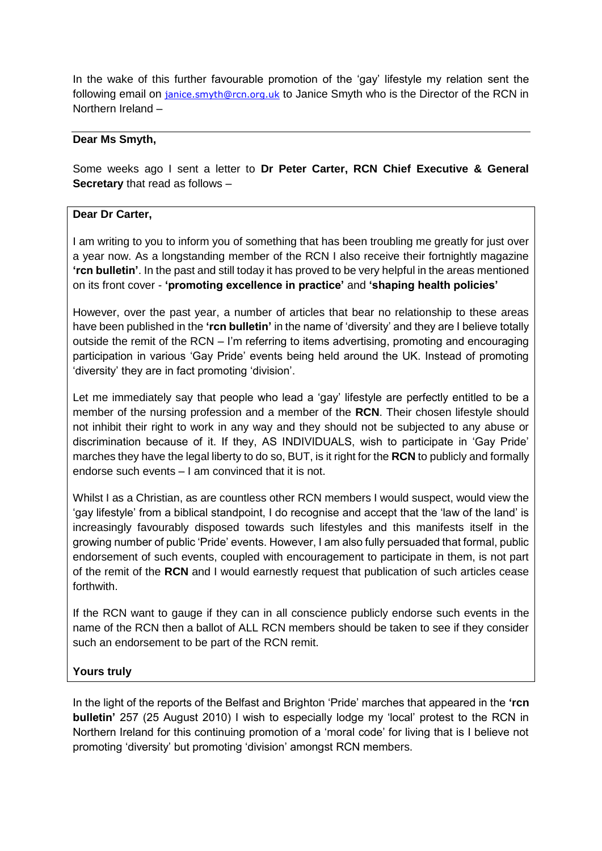In the wake of this further favourable promotion of the 'gay' lifestyle my relation sent the following email on [janice.smyth@rcn.org.uk](mailto:janice.smyth@rcn.org.uk) to Janice Smyth who is the Director of the RCN in Northern Ireland –

### **Dear Ms Smyth,**

Some weeks ago I sent a letter to **Dr Peter Carter, RCN Chief Executive & General Secretary** that read as follows –

### **Dear Dr Carter,**

I am writing to you to inform you of something that has been troubling me greatly for just over a year now. As a longstanding member of the RCN I also receive their fortnightly magazine **'rcn bulletin'**. In the past and still today it has proved to be very helpful in the areas mentioned on its front cover - **'promoting excellence in practice'** and **'shaping health policies'**

However, over the past year, a number of articles that bear no relationship to these areas have been published in the **'rcn bulletin'** in the name of 'diversity' and they are I believe totally outside the remit of the RCN – I'm referring to items advertising, promoting and encouraging participation in various 'Gay Pride' events being held around the UK. Instead of promoting 'diversity' they are in fact promoting 'division'.

Let me immediately say that people who lead a 'gay' lifestyle are perfectly entitled to be a member of the nursing profession and a member of the **RCN**. Their chosen lifestyle should not inhibit their right to work in any way and they should not be subjected to any abuse or discrimination because of it. If they, AS INDIVIDUALS, wish to participate in 'Gay Pride' marches they have the legal liberty to do so, BUT, is it right for the **RCN** to publicly and formally endorse such events – I am convinced that it is not.

Whilst I as a Christian, as are countless other RCN members I would suspect, would view the 'gay lifestyle' from a biblical standpoint, I do recognise and accept that the 'law of the land' is increasingly favourably disposed towards such lifestyles and this manifests itself in the growing number of public 'Pride' events. However, I am also fully persuaded that formal, public endorsement of such events, coupled with encouragement to participate in them, is not part of the remit of the **RCN** and I would earnestly request that publication of such articles cease forthwith.

If the RCN want to gauge if they can in all conscience publicly endorse such events in the name of the RCN then a ballot of ALL RCN members should be taken to see if they consider such an endorsement to be part of the RCN remit.

## **Yours truly**

In the light of the reports of the Belfast and Brighton 'Pride' marches that appeared in the **'rcn bulletin'** 257 (25 August 2010) I wish to especially lodge my 'local' protest to the RCN in Northern Ireland for this continuing promotion of a 'moral code' for living that is I believe not promoting 'diversity' but promoting 'division' amongst RCN members.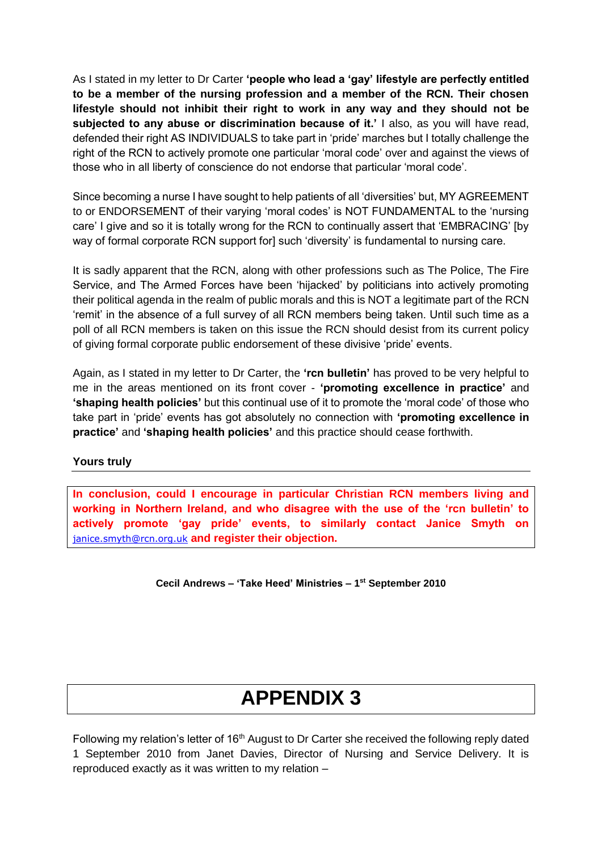As I stated in my letter to Dr Carter **'people who lead a 'gay' lifestyle are perfectly entitled to be a member of the nursing profession and a member of the RCN. Their chosen lifestyle should not inhibit their right to work in any way and they should not be subjected to any abuse or discrimination because of it.'** I also, as you will have read, defended their right AS INDIVIDUALS to take part in 'pride' marches but I totally challenge the right of the RCN to actively promote one particular 'moral code' over and against the views of those who in all liberty of conscience do not endorse that particular 'moral code'.

Since becoming a nurse I have sought to help patients of all 'diversities' but, MY AGREEMENT to or ENDORSEMENT of their varying 'moral codes' is NOT FUNDAMENTAL to the 'nursing care' I give and so it is totally wrong for the RCN to continually assert that 'EMBRACING' [by way of formal corporate RCN support for] such 'diversity' is fundamental to nursing care.

It is sadly apparent that the RCN, along with other professions such as The Police, The Fire Service, and The Armed Forces have been 'hijacked' by politicians into actively promoting their political agenda in the realm of public morals and this is NOT a legitimate part of the RCN 'remit' in the absence of a full survey of all RCN members being taken. Until such time as a poll of all RCN members is taken on this issue the RCN should desist from its current policy of giving formal corporate public endorsement of these divisive 'pride' events.

Again, as I stated in my letter to Dr Carter, the **'rcn bulletin'** has proved to be very helpful to me in the areas mentioned on its front cover - **'promoting excellence in practice'** and **'shaping health policies'** but this continual use of it to promote the 'moral code' of those who take part in 'pride' events has got absolutely no connection with **'promoting excellence in practice'** and **'shaping health policies'** and this practice should cease forthwith.

#### **Yours truly**

**In conclusion, could I encourage in particular Christian RCN members living and working in Northern Ireland, and who disagree with the use of the 'rcn bulletin' to actively promote 'gay pride' events, to similarly contact Janice Smyth on**  [janice.smyth@rcn.org.uk](mailto:janice.smyth@rcn.org.uk) **and register their objection.**

**Cecil Andrews – 'Take Heed' Ministries – 1 st September 2010** 

# **APPENDIX 3**

Following my relation's letter of 16<sup>th</sup> August to Dr Carter she received the following reply dated 1 September 2010 from Janet Davies, Director of Nursing and Service Delivery. It is reproduced exactly as it was written to my relation –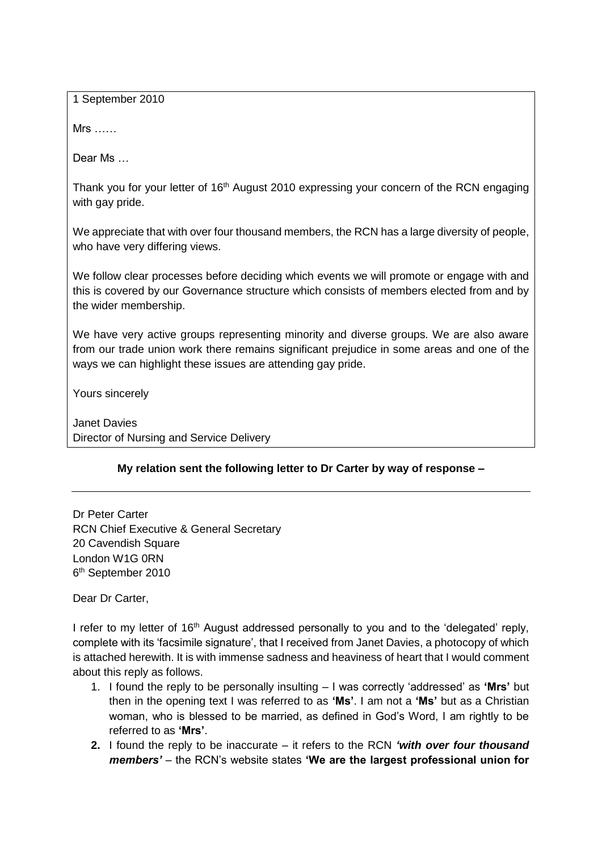1 September 2010

Mrs ……

Dear Ms …

Thank you for your letter of 16<sup>th</sup> August 2010 expressing your concern of the RCN engaging with gay pride.

We appreciate that with over four thousand members, the RCN has a large diversity of people, who have very differing views.

We follow clear processes before deciding which events we will promote or engage with and this is covered by our Governance structure which consists of members elected from and by the wider membership.

We have very active groups representing minority and diverse groups. We are also aware from our trade union work there remains significant prejudice in some areas and one of the ways we can highlight these issues are attending gay pride.

Yours sincerely

Janet Davies Director of Nursing and Service Delivery

## **My relation sent the following letter to Dr Carter by way of response –**

Dr Peter Carter RCN Chief Executive & General Secretary 20 Cavendish Square London W1G 0RN 6<sup>th</sup> September 2010

Dear Dr Carter,

I refer to my letter of 16<sup>th</sup> August addressed personally to you and to the 'delegated' reply, complete with its 'facsimile signature', that I received from Janet Davies, a photocopy of which is attached herewith. It is with immense sadness and heaviness of heart that I would comment about this reply as follows.

- 1. I found the reply to be personally insulting I was correctly 'addressed' as **'Mrs'** but then in the opening text I was referred to as **'Ms'**. I am not a **'Ms'** but as a Christian woman, who is blessed to be married, as defined in God's Word, I am rightly to be referred to as **'Mrs'**.
- **2.** I found the reply to be inaccurate it refers to the RCN *'with over four thousand members'* – the RCN's website states **'We are the largest professional union for**